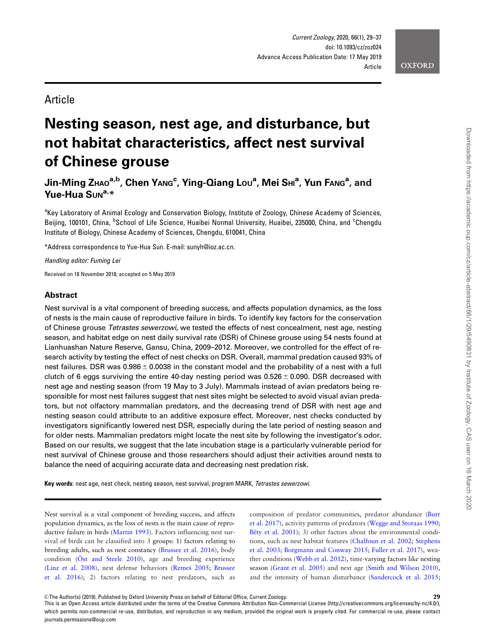

# **Article**

# Nesting season, nest age, and disturbance, but not habitat characteristics, affect nest survival of Chinese grouse

Jin-Ming Zндо<sup>а,b</sup>, Chen Yдмg<sup>с</sup>, Ying-Qiang Lo∪<sup>a</sup>, Mei Sнı<sup>a</sup>, Yun Fдмg<sup>а</sup>, and Yue-Hua Suna,\*

<sup>a</sup>Key Laboratory of Animal Ecology and Conservation Biology, Institute of Zoology, Chinese Academy of Sciences, Beijing, 100101, China, <sup>b</sup>School of Life Science, Huaibei Normal University, Huaibei, 235000, China, and <sup>c</sup>Chengdu Institute of Biology, Chinese Academy of Sciences, Chengdu, 610041, China

\*Address correspondence to Yue-Hua Sun. E-mail: sunyh@ioz.ac.cn.

Handling editor: Fuming Lei

Received on 18 November 2018; accepted on 5 May 2019

# Abstract

Nest survival is a vital component of breeding success, and affects population dynamics, as the loss of nests is the main cause of reproductive failure in birds. To identify key factors for the conservation of Chinese grouse Tetrastes sewerzowi, we tested the effects of nest concealment, nest age, nesting season, and habitat edge on nest daily survival rate (DSR) of Chinese grouse using 54 nests found at Lianhuashan Nature Reserve, Gansu, China, 2009–2012. Moreover, we controlled for the effect of research activity by testing the effect of nest checks on DSR. Overall, mammal predation caused 93% of nest failures. DSR was  $0.986 \pm 0.0038$  in the constant model and the probability of a nest with a full clutch of 6 eggs surviving the entire 40-day nesting period was  $0.526 \pm 0.090$ . DSR decreased with nest age and nesting season (from 19 May to 3 July). Mammals instead of avian predators being responsible for most nest failures suggest that nest sites might be selected to avoid visual avian predators, but not olfactory mammalian predators, and the decreasing trend of DSR with nest age and nesting season could attribute to an additive exposure effect. Moreover, nest checks conducted by investigators significantly lowered nest DSR, especially during the late period of nesting season and for older nests. Mammalian predators might locate the nest site by following the investigator's odor. Based on our results, we suggest that the late incubation stage is a particularly vulnerable period for nest survival of Chinese grouse and those researchers should adjust their activities around nests to balance the need of acquiring accurate data and decreasing nest predation risk.

Key words: nest age, nest check, nesting season, nest survival, program MARK, Tetrastes sewerzowi.

Nest survival is a vital component of breeding success, and affects population dynamics, as the loss of nests is the main cause of reproductive failure in birds ([Martin 1993](#page-7-0)). Factors influencing nest survival of birds can be classified into 3 groups: 1) factors relating to breeding adults, such as nest constancy [\(Brussee et al. 2016\)](#page-7-0), body condition ( $\ddot{\text{O}}$ [st and Steele 2010\)](#page-8-0), age and breeding experience [\(Linz et al. 2008\)](#page-7-0), nest defense behaviors [\(Reme](#page-8-0)š 2005; [Brussee](#page-7-0) [et al. 2016](#page-7-0)); 2) factors relating to nest predators, such as composition of predator communities, predator abundance [\(Burr](#page-7-0) [et al. 2017\)](#page-7-0), activity patterns of predators ([Wegge and Storaas 1990](#page-8-0); Bêty et al. 2001); 3) other factors about the environmental conditions, such as nest habitat features ([Chalfoun et al. 2002;](#page-7-0) [Stephens](#page-8-0) [et al. 2003](#page-8-0); [Borgmann and Conway 2015;](#page-7-0) [Fuller et al. 2017\)](#page-7-0), weather conditions [\(Webb et al. 2012\)](#page-8-0), time-varying factors like nesting season ([Grant et al. 2005\)](#page-7-0) and nest age [\(Smith and Wilson 2010\)](#page-8-0), and the intensity of human disturbance [\(Sandercock et al. 2015](#page-8-0);

This is an Open Access article distributed under the terms of the Creative Commons Attribution Non-Commercial License (http://creativecommons.org/licenses/by-nc/4.0/), which permits non-commercial re-use, distribution, and reproduction in any medium, provided the original work is properly cited. For commercial re-use, please contact journals.permissions@oup.com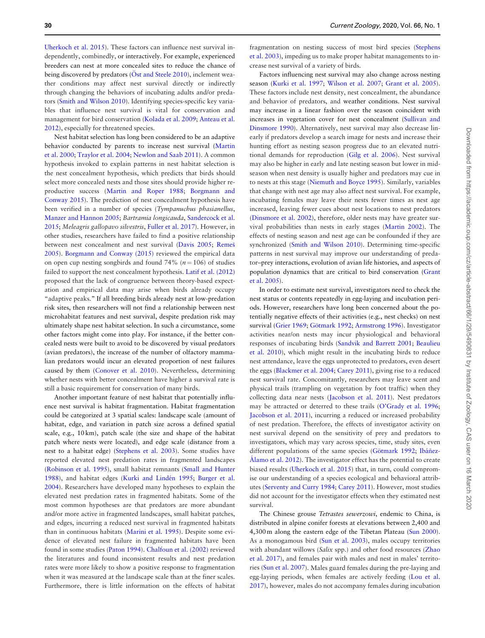[Uherkoch et al. 2015\)](#page-8-0). These factors can influence nest survival independently, combinedly, or interactively. For example, experienced breeders can nest at more concealed sites to reduce the chance of being discovered by predators (Ö[st and Steele 2010\)](#page-8-0), inclement weather conditions may affect nest survival directly or indirectly through changing the behaviors of incubating adults and/or predators ([Smith and Wilson 2010](#page-8-0)). Identifying species-specific key variables that influence nest survival is vital for conservation and management for bird conservation [\(Kolada et al. 2009;](#page-7-0) [Anteau et al.](#page-6-0) [2012](#page-6-0)), especially for threatened species.

Nest habitat selection has long been considered to be an adaptive behavior conducted by parents to increase nest survival [\(Martin](#page-7-0) [et al. 2000;](#page-7-0) [Traylor et al. 2004;](#page-8-0) [Newlon and Saab 2011\)](#page-7-0). A common hypothesis invoked to explain patterns in nest habitat selection is the nest concealment hypothesis, which predicts that birds should select more concealed nests and those sites should provide higher reproductive success ([Martin and Roper 1988](#page-7-0); [Borgmann and](#page-7-0) [Conway 2015](#page-7-0)). The prediction of nest concealment hypothesis have been verified in a number of species (Tympanuchus phasianellus, [Manzer and Hannon 2005](#page-7-0); Bartramia longicauda, [Sandercock et al.](#page-8-0) [2015](#page-8-0); Meleagris gallopavo silvestris, [Fuller et al. 2017](#page-7-0)). However, in other studies, researchers have failed to find a positive relationship between nest concealment and nest survival [\(Davis 2005;](#page-7-0) [Reme](#page-8-0)š [2005](#page-8-0)). [Borgmann and Conway \(2015\)](#page-7-0) reviewed the empirical data on open cup nesting songbirds and found 74% ( $n = 106$ ) of studies failed to support the nest concealment hypothesis. [Latif et al. \(2012\)](#page-7-0) proposed that the lack of congruence between theory-based expectation and empirical data may arise when birds already occupy "adaptive peaks." If all breeding birds already nest at low-predation risk sites, then researchers will not find a relationship between nest microhabitat features and nest survival, despite predation risk may ultimately shape nest habitat selection. In such a circumstance, some other factors might come into play. For instance, if the better concealed nests were built to avoid to be discovered by visual predators (avian predators), the increase of the number of olfactory mammalian predators would incur an elevated proportion of nest failures caused by them ([Conover et al. 2010\)](#page-7-0). Nevertheless, determining whether nests with better concealment have higher a survival rate is still a basic requirement for conservation of many birds.

Another important feature of nest habitat that potentially influence nest survival is habitat fragmentation. Habitat fragmentation could be categorized at 3 spatial scales: landscape scale (amount of habitat, edge, and variation in patch size across a defined spatial scale, e.g., 10 km), patch scale (the size and shape of the habitat patch where nests were located), and edge scale (distance from a nest to a habitat edge) [\(Stephens et al. 2003](#page-8-0)). Some studies have reported elevated nest predation rates in fragmented landscapes [\(Robinson et al. 1995\)](#page-8-0), small habitat remnants ([Small and Hunter](#page-8-0) [1988](#page-8-0)), and habitat edges (Kurki and Lindén 1995; [Burger et al.](#page-7-0) [2004](#page-7-0)). Researchers have developed many hypotheses to explain the elevated nest predation rates in fragmented habitats. Some of the most common hypotheses are that predators are more abundant and/or more active in fragmented landscapes, small habitat patches, and edges, incurring a reduced nest survival in fragmented habitats than in continuous habitats ([Marini et al. 1995\)](#page-7-0). Despite some evidence of elevated nest failure in fragmented habitats have been found in some studies ([Paton 1994](#page-8-0)). [Chalfoun et al. \(2002\)](#page-7-0) reviewed the literatures and found inconsistent results and nest predation rates were more likely to show a positive response to fragmentation when it was measured at the landscape scale than at the finer scales. Furthermore, there is little information on the effects of habitat

fragmentation on nesting success of most bird species ([Stephens](#page-8-0) [et al. 2003\)](#page-8-0), impeding us to make proper habitat managements to increase nest survival of a variety of birds.

Factors influencing nest survival may also change across nesting season ([Kurki et al. 1997;](#page-7-0) [Wilson et al. 2007](#page-8-0); [Grant et al. 2005\)](#page-7-0). These factors include nest density, nest concealment, the abundance and behavior of predators, and weather conditions. Nest survival may increase in a linear fashion over the season coincident with increases in vegetation cover for nest concealment [\(Sullivan and](#page-8-0) [Dinsmore 1990\)](#page-8-0). Alternatively, nest survival may also decrease linearly if predators develop a search image for nests and increase their hunting effort as nesting season progress due to an elevated nutritional demands for reproduction [\(Gilg et al. 2006\)](#page-7-0). Nest survival may also be higher in early and late nesting season but lower in midseason when nest density is usually higher and predators may cue in to nests at this stage [\(Niemuth and Boyce 1995\)](#page-7-0). Similarly, variables that change with nest age may also affect nest survival. For example, incubating females may leave their nests fewer times as nest age increased, leaving fewer cues about nest locations to nest predators [\(Dinsmore et al. 2002\)](#page-7-0), therefore, older nests may have greater survival probabilities than nests in early stages ([Martin 2002](#page-7-0)). The effects of nesting season and nest age can be confounded if they are synchronized ([Smith and Wilson 2010\)](#page-8-0). Determining time-specific patterns in nest survival may improve our understanding of predator–prey interactions, evolution of avian life histories, and aspects of population dynamics that are critical to bird conservation [\(Grant](#page-7-0) [et al. 2005\)](#page-7-0).

In order to estimate nest survival, investigators need to check the nest status or contents repeatedly in egg-laying and incubation periods. However, researchers have long been concerned about the potentially negative effects of their activities (e.g., nest checks) on nest survival [\(Grier 1969](#page-7-0); Götmark 1992; [Armstrong 1996\)](#page-6-0). Investigator activities near/on nests may incur physiological and behavioral responses of incubating birds ([Sandvik and Barrett 2001;](#page-8-0) [Beaulieu](#page-6-0) [et al. 2010\)](#page-6-0), which might result in the incubating birds to reduce nest attendance, leave the eggs unprotected to predators, even desert the eggs ([Blackmer et al. 2004;](#page-7-0) [Carey 2011](#page-7-0)), giving rise to a reduced nest survival rate. Concomitantly, researchers may leave scent and physical trails (trampling on vegetation by foot traffic) when they collecting data near nests [\(Jacobson et al. 2011](#page-7-0)). Nest predators may be attracted or deterred to these trails ([O'Grady et al. 1996](#page-7-0); [Jacobson et al. 2011\)](#page-7-0), incurring a reduced or increased probability of nest predation. Therefore, the effects of investigator activity on nest survival depend on the sensitivity of prey and predators to investigators, which may vary across species, time, study sites, even different populations of the same species (Götmark 1992; Ibáñ[ez](#page-7-0) A[lamo et al. 2012\)](#page-7-0). The investigator effect has the potential to create biased results [\(Uherkoch et al. 2015](#page-8-0)) that, in turn, could compromise our understanding of a species ecological and behavioral attributes [\(Serventy and Curry 1984](#page-8-0); [Carey 2011\)](#page-7-0). However, most studies did not account for the investigator effects when they estimated nest survival.

The Chinese grouse Tetrastes sewerzowi, endemic to China, is distributed in alpine conifer forests at elevations between 2,400 and 4,300 m along the eastern edge of the Tibetan Plateau [\(Sun 2000\)](#page-8-0). As a monogamous bird ([Sun et al. 2003](#page-8-0)), males occupy territories with abundant willows (Salix spp.) and other food resources [\(Zhao](#page-8-0) [et al. 2017](#page-8-0)), and females pair with males and nest in males' territories [\(Sun et al. 2007\)](#page-8-0). Males guard females during the pre-laying and egg-laying periods, when females are actively feeding ([Lou et al.](#page-7-0) [2017](#page-7-0)), however, males do not accompany females during incubation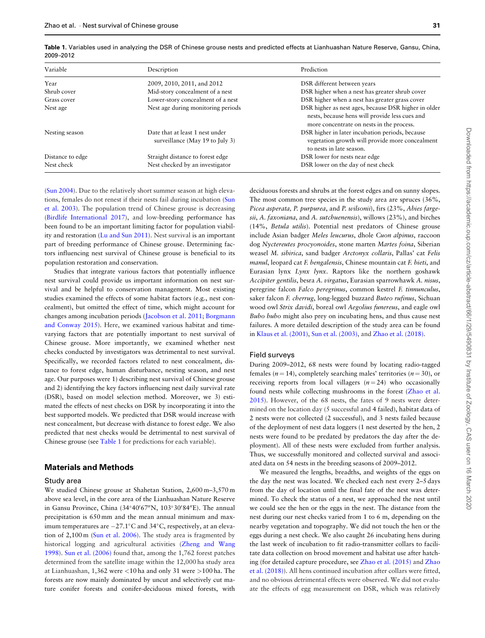| Variable         | Description                                                        | Prediction                                                                                                                                          |
|------------------|--------------------------------------------------------------------|-----------------------------------------------------------------------------------------------------------------------------------------------------|
| Year             | 2009, 2010, 2011, and 2012                                         | DSR different between years                                                                                                                         |
| Shrub cover      | Mid-story concealment of a nest                                    | DSR higher when a nest has greater shrub cover                                                                                                      |
| Grass cover      | Lower-story concealment of a nest                                  | DSR higher when a nest has greater grass cover                                                                                                      |
| Nest age         | Nest age during monitoring periods                                 | DSR higher as nest ages, because DSR higher in older<br>nests, because hens will provide less cues and<br>more concentrate on nests in the process. |
| Nesting season   | Date that at least 1 nest under<br>surveillance (May 19 to July 3) | DSR higher in later incubation periods, because<br>vegetation growth will provide more concealment<br>to nests in late season.                      |
| Distance to edge | Straight distance to forest edge                                   | DSR lower for nests near edge                                                                                                                       |
| Nest check       | Nest checked by an investigator                                    | DSR lower on the day of nest check                                                                                                                  |

<span id="page-2-0"></span>Table 1. Variables used in analyzing the DSR of Chinese grouse nests and predicted effects at Lianhuashan Nature Reserve, Gansu, China, 2009–2012

[\(Sun 2004\)](#page-8-0). Due to the relatively short summer season at high elevations, females do not renest if their nests fail during incubation ([Sun](#page-8-0) [et al. 2003\)](#page-8-0). The population trend of Chinese grouse is decreasing [\(Birdlife International 2017\)](#page-6-0), and low-breeding performance has been found to be an important limiting factor for population viability and restoration ([Lu and Sun 2011\)](#page-7-0). Nest survival is an important part of breeding performance of Chinese grouse. Determining factors influencing nest survival of Chinese grouse is beneficial to its population restoration and conservation.

Studies that integrate various factors that potentially influence nest survival could provide us important information on nest survival and be helpful to conservation management. Most existing studies examined the effects of some habitat factors (e.g., nest concealment), but omitted the effect of time, which might account for changes among incubation periods [\(Jacobson et al. 2011](#page-7-0); [Borgmann](#page-7-0) [and Conway 2015\)](#page-7-0). Here, we examined various habitat and timevarying factors that are potentially important to nest survival of Chinese grouse. More importantly, we examined whether nest checks conducted by investigators was detrimental to nest survival. Specifically, we recorded factors related to nest concealment, distance to forest edge, human disturbance, nesting season, and nest age. Our purposes were 1) describing nest survival of Chinese grouse and 2) identifying the key factors influencing nest daily survival rate (DSR), based on model selection method. Moreover, we 3) estimated the effects of nest checks on DSR by incorporating it into the best supported models. We predicted that DSR would increase with nest concealment, but decrease with distance to forest edge. We also predicted that nest checks would be detrimental to nest survival of Chinese grouse (see Table 1 for predictions for each variable).

# Materials and Methods

#### Study area

We studied Chinese grouse at Shahetan Station, 2,600 m–3,570 m above sea level, in the core area of the Lianhuashan Nature Reserve in Gansu Province, China (34°40'67"N, 103°30'84"E). The annual precipitation is 650 mm and the mean annual minimum and maximum temperatures are  $-27.1^{\circ}$ C and 34 $^{\circ}$ C, respectively, at an elevation of 2,100 m [\(Sun et al. 2006\)](#page-8-0). The study area is fragmented by historical logging and agricultural activities [\(Zheng and Wang](#page-8-0) [1998](#page-8-0)). [Sun et al. \(2006\)](#page-8-0) found that, among the 1,762 forest patches determined from the satellite image within the 12,000 ha study area at Lianhuashan, 1,362 were <10 ha and only 31 were >100 ha. The forests are now mainly dominated by uncut and selectively cut mature conifer forests and conifer-deciduous mixed forests, with

deciduous forests and shrubs at the forest edges and on sunny slopes. The most common tree species in the study area are spruces (36%, Picea asperata, P. purpurea, and P. wilsonii), firs (23%, Abies fargesii, A. faxoniana, and A. sutchuenensis), willows (23%), and birches (14%, Betula utilis). Potential nest predators of Chinese grouse include Asian badger Meles leucurus, dhole Cuon alpinus, raccoon dog Nyctereutes procyonoides, stone marten Martes foina, Siberian weasel M. sibirica, sand badger Arctonyx collaris, Pallas' cat Felis manul, leopard cat F. bengalensis, Chinese mountain cat F. bieti, and Eurasian lynx Lynx lynx. Raptors like the northern goshawk Accipiter gentilis, besra A. virgatus, Eurasian sparrowhawk A. nisus, peregrine falcon Falco peregrinus, common kestrel F. tinnunculus, saker falcon F. cherrug, long-legged buzzard Buteo rufinus, Sichuan wood owl Strix davidi, boreal owl Aegolius funereus, and eagle owl Bubo bubo might also prey on incubating hens, and thus cause nest failures. A more detailed description of the study area can be found in [Klaus et al. \(2001\)](#page-7-0), [Sun et al. \(2003\)](#page-8-0), and [Zhao et al. \(2018\)](#page-8-0).

#### Field surveys

During 2009–2012, 68 nests were found by locating radio-tagged females ( $n = 14$ ), completely searching males' territories ( $n = 30$ ), or receiving reports from local villagers  $(n = 24)$  who occasionally found nests while collecting mushrooms in the forest ([Zhao et al.](#page-8-0) [2015](#page-8-0)). However, of the 68 nests, the fates of 9 nests were determined on the location day (5 successful and 4 failed), habitat data of 2 nests were not collected (2 successful), and 3 nests failed because of the deployment of nest data loggers (1 nest deserted by the hen, 2 nests were found to be predated by predators the day after the deployment). All of these nests were excluded from further analysis. Thus, we successfully monitored and collected survival and associated data on 54 nests in the breeding seasons of 2009–2012.

We measured the lengths, breadths, and weights of the eggs on the day the nest was located. We checked each nest every 2–5 days from the day of location until the final fate of the nest was determined. To check the status of a nest, we approached the nest until we could see the hen or the eggs in the nest. The distance from the nest during our nest checks varied from 1 to 6 m, depending on the nearby vegetation and topography. We did not touch the hen or the eggs during a nest check. We also caught 26 incubating hens during the last week of incubation to fit radio-transmitter collars to facilitate data collection on brood movement and habitat use after hatching (for detailed capture procedure, see [Zhao et al. \(2015\)](#page-8-0) and [Zhao](#page-8-0) [et al. \(2018\)](#page-8-0)). All hens continued incubation after collars were fitted, and no obvious detrimental effects were observed. We did not evaluate the effects of egg measurement on DSR, which was relatively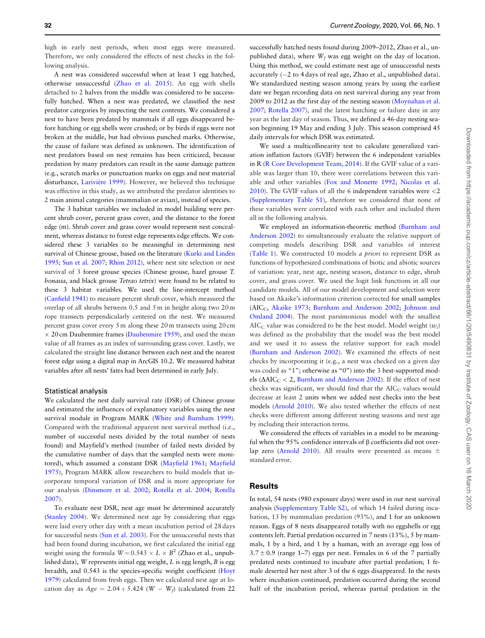high in early nest periods, when most eggs were measured. Therefore, we only considered the effects of nest checks in the following analysis.

A nest was considered successful when at least 1 egg hatched, otherwise unsuccessful ([Zhao et al. 2015](#page-8-0)). An egg with shells detached to 2 halves from the middle was considered to be successfully hatched. When a nest was predated, we classified the nest predator categories by inspecting the nest contents. We considered a nest to have been predated by mammals if all eggs disappeared before hatching or egg shells were crushed; or by birds if eggs were not broken at the middle, but had obvious punched marks. Otherwise, the cause of failure was defined as unknown. The identification of nest predators based on nest remains has been criticized, because predation by many predators can result in the same damage pattern (e.g., scratch marks or punctuation marks on eggs and nest material disturbance, Larivière 1999). However, we believed this technique was effective in this study, as we attributed the predator identities to 2 main animal categories (mammalian or avian), instead of species.

The 3 habitat variables we included in model building were percent shrub cover, percent grass cover, and the distance to the forest edge (m). Shrub cover and grass cover would represent nest concealment, whereas distance to forest edge represents edge effects. We considered these 3 variables to be meaningful in determining nest survival of Chinese grouse, based on the literature (Kurki and Lindén [1995;](#page-7-0) [Sun et al. 2007](#page-8-0); [Rhim 2012\)](#page-8-0), where nest site selection or nest survival of 3 forest grouse species (Chinese grouse, hazel grouse T. bonasia, and black grouse Tetrao tetrix) were found to be related to these 3 habitat variables. We used the line-intercept method [\(Canfield 1941\)](#page-7-0) to measure percent shrub cover, which measured the overlap of all shrubs between 0.5 and 5 m in height along two 20 m rope transects perpendicularly centered on the nest. We measured percent grass cover every 5 m along these 20 m transects using 20 cm  $\times$  20 cm Daubenmire frames ([Daubenmire 1959](#page-7-0)), and used the mean value of all frames as an index of surrounding grass cover. Lastly, we calculated the straight line distance between each nest and the nearest forest edge using a digital map in ArcGIS 10.2. We measured habitat variables after all nests' fates had been determined in early July.

#### Statistical analysis

We calculated the nest daily survival rate (DSR) of Chinese grouse and estimated the influences of explanatory variables using the nest survival module in Program MARK ([White and Burnham 1999\)](#page-8-0). Compared with the traditional apparent nest survival method (i.e., number of successful nests divided by the total number of nests found) and Mayfield's method (number of failed nests divided by the cumulative number of days that the sampled nests were monitored), which assumed a constant DSR ([Mayfield 1961;](#page-7-0) [Mayfield](#page-7-0) [1975](#page-7-0)), Program MARK allow researchers to build models that incorporate temporal variation of DSR and is more appropriate for our analysis [\(Dinsmore et al. 2002](#page-7-0); [Rotella et al. 2004;](#page-8-0) [Rotella](#page-8-0) [2007](#page-8-0)).

To evaluate nest DSR, nest age must be determined accurately [\(Stanley 2004](#page-8-0)). We determined nest age by considering that eggs were laid every other day with a mean incubation period of 28 days for successful nests ([Sun et al. 2003\)](#page-8-0). For the unsuccessful nests that had been found during incubation, we first calculated the initial egg weight using the formula  $W = 0.543 \times L \times B^2$  (Zhao et al., unpublished data), W represents initial egg weight, L is egg length, B is egg breadth, and 0.543 is the species-specific weight coefficient ([Hoyt](#page-7-0) [1979](#page-7-0)) calculated from fresh eggs. Then we calculated nest age at location day as  $Age = 2.04 + 5.424$  (W - W<sub>f</sub>) (calculated from 22

successfully hatched nests found during 2009–2012, Zhao et al., unpublished data), where  $W_f$  was egg weight on the day of location. Using this method, we could estimate nest age of unsuccessful nests accurately  $(-2 \text{ to } 4 \text{ days of real age},$  Zhao et al., unpublished data). We standardized nesting season among years by using the earliest date we began recording data on nest survival during any year from 2009 to 2012 as the first day of the nesting season ([Moynahan et al.](#page-7-0) [2007](#page-7-0); [Rotella 2007\)](#page-8-0), and the latest hatching or failure date in any year as the last day of season. Thus, we defined a 46-day nesting season beginning 19 May and ending 3 July. This season comprised 45 daily intervals for which DSR was estimated.

We used a multicollinearity test to calculate generalized variation inflation factors (GVIF) between the 6 independent variables in R ([R Core Development Team, 2014](#page-8-0)). If the GVIF value of a variable was larger than 10, there were correlations between this variable and other variables ([Fox and Monette 1992;](#page-7-0) [Nicolas et al.](#page-7-0) [2010](#page-7-0)). The GVIF values of all the 6 independent variables were <2 [\(Supplementary Table S1\)](https://academic.oup.com/cz/article-lookup/doi/10.1093/cz/zoz024#supplementary-data), therefore we considered that none of these variables were correlated with each other and included them all in the following analysis.

We employed an information-theoretic method [\(Burnham and](#page-7-0) [Anderson 2002](#page-7-0)) to simultaneously evaluate the relative support of competing models describing DSR and variables of interest [\(Table 1](#page-2-0)). We constructed 10 models a priori to represent DSR as functions of hypothesized combinations of biotic and abiotic sources of variation: year, nest age, nesting season, distance to edge, shrub cover, and grass cover. We used the logit link functions in all our candidate models. All of our model development and selection were based on Akaike's information criterion corrected for small samples (AIC<sub>C</sub>, [Akaike 1973;](#page-6-0) [Burnham and Anderson 2002](#page-7-0); [Johnson and](#page-7-0) [Omland 2004\)](#page-7-0). The most parsimonious model with the smallest AIC<sub>C</sub> value was considered to be the best model. Model weight  $(w_i)$ was defined as the probability that the model was the best model and we used it to assess the relative support for each model [\(Burnham and Anderson 2002\)](#page-7-0). We examined the effects of nest checks by incorporating it (e.g., a nest was checked on a given day was coded as "1"; otherwise as "0") into the 3 best-supported models ( $\Delta AIC_C < 2$ , [Burnham and Anderson 2002\)](#page-7-0). If the effect of nest checks was significant, we should find that the  $AIC_C$  values would decrease at least 2 units when we added nest checks into the best models [\(Arnold 2010](#page-6-0)). We also tested whether the effects of nest checks were different among different nesting seasons and nest age by including their interaction terms.

We considered the effects of variables in a model to be meaningful when the 95% confidence intervals of  $\beta$  coefficients did not over-lap zero [\(Arnold 2010](#page-6-0)). All results were presented as means  $\pm$ standard error.

# Results

In total, 54 nests (980 exposure days) were used in our nest survival analysis [\(Supplementary Table S2\)](https://academic.oup.com/cz/article-lookup/doi/10.1093/cz/zoz024#supplementary-data), of which 14 failed during incubation, 13 by mammalian predation (93%), and 1 for an unknown reason. Eggs of 8 nests disappeared totally with no eggshells or egg contents left. Partial predation occurred in 7 nests (13%), 5 by mammals, 1 by a bird, and 1 by a human, with an average egg loss of  $3.7 \pm 0.9$  (range 1–7) eggs per nest. Females in 6 of the 7 partially predated nests continued to incubate after partial predation; 1 female deserted her nest after 3 of the 6 eggs disappeared. In the nests where incubation continued, predation occurred during the second half of the incubation period, whereas partial predation in the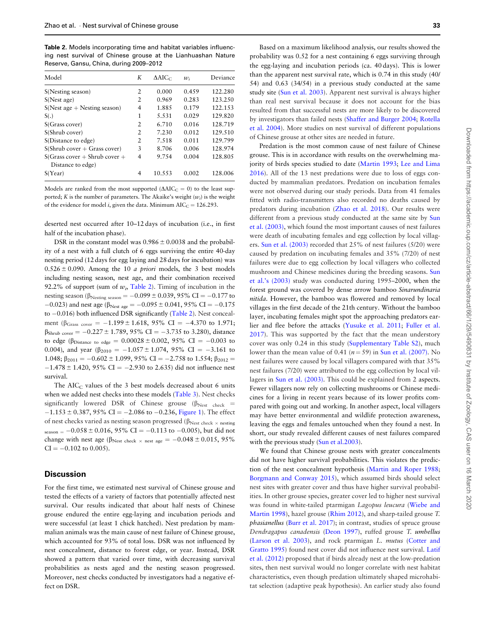Table 2. Models incorporating time and habitat variables influencing nest survival of Chinese grouse at the Lianhuashan Nature Reserve, Gansu, China, during 2009–2012

| Model                           | K              | $\Delta AIC_C$ | $w_i$ | Deviance |
|---------------------------------|----------------|----------------|-------|----------|
| S(Nesting season)               | 2              | 0.000          | 0.459 | 122.280  |
| S(Nest age)                     | $\mathfrak{D}$ | 0.969          | 0.283 | 123.250  |
| $S(Nest age + Nesting season)$  | 4              | 1.885          | 0.179 | 122.153  |
| S(.)                            | 1              | 5.531          | 0.029 | 129.820  |
| S(Grass cover)                  | 2              | 6.710          | 0.016 | 128.719  |
| S(Shrub cover)                  | $\mathfrak{D}$ | 7.230          | 0.012 | 129.510  |
| S(Distance to edge)             | 2              | 7.518          | 0.011 | 129.799  |
| $S(Shrub cover + Grass cover)$  | 3              | 8.706          | 0.006 | 128.974  |
| $S(Grass cover + Shrub cover +$ | 4              | 9.754          | 0.004 | 128.805  |
| Distance to edge)               |                |                |       |          |
| S(Year)                         | 4              | 10.553         | 0.002 | 128.006  |
|                                 |                |                |       |          |

Models are ranked from the most supported ( $\Delta AIC_C = 0$ ) to the least supported; K is the number of parameters. The Akaike's weight  $(w_i)$  is the weight of the evidence for model *i*, given the data. Minimum  $AIC_C = 126.293$ .

deserted nest occurred after 10–12 days of incubation (i.e., in first half of the incubation phase).

DSR in the constant model was  $0.986 \pm 0.0038$  and the probability of a nest with a full clutch of 6 eggs surviving the entire 40-day nesting period (12days for egg laying and 28days for incubation) was  $0.526 \pm 0.090$ . Among the 10 *a priori* models, the 3 best models including nesting season, nest age, and their combination received 92.2% of support (sum of  $w_i$ , Table 2). Timing of incubation in the nesting season ( $\beta_{\text{Nesting season}} = -0.099 \pm 0.039, 95\% \text{ CI} = -0.177 \text{ to}$  $-0.023$ ) and nest age ( $\beta_{\text{Nest age}} = -0.095 \pm 0.041$ , 95% CI =  $-0.175$ to  $-0.016$ ) both influenced DSR significantly (Table 2). Nest concealment ( $\beta_{Grass cover} = -1.199 \pm 1.618$ , 95% CI = -4.370 to 1.971;  $\beta_{\text{Shrub cover}} = -0.227 \pm 1.789, 95\% \text{ CI} = -3.735 \text{ to } 3.280$ , distance to edge ( $\beta_{Distance\ to\ edge} = 0.00028 \pm 0.002$ , 95% CI = -0.003 to 0.004), and year  $(\beta_{2010} = -1.057 \pm 1.074, 95\% \text{ CI} = -3.161 \text{ to}$ 1.048;  $\beta_{2011} = -0.602 \pm 1.099$ , 95% CI = -2.758 to 1.554;  $\beta_{2012}$  =  $-1.478 \pm 1.420$ , 95% CI = -2.930 to 2.635) did not influence nest survival.

The AIC $<sub>C</sub>$  values of the 3 best models decreased about 6 units</sub> when we added nest checks into these models ([Table 3\)](#page-5-0). Nest checks significantly lowered DSR of Chinese grouse ( $\beta_{\text{Nest}}$  check =  $-1.153 \pm 0.387$ , 95% CI = -2.086 to -0.236, [Figure 1\)](#page-5-0). The effect of nest checks varied as nesting season progressed ( $\beta_{\rm Nest\;check}$   $\times$  nesting  $s_{\text{reason}} = -0.058 \pm 0.016, 95\% \text{ CI} = -0.113 \text{ to } -0.005$ , but did not change with nest age ( $\beta_{\text{Nest check}} \times \text{nest age} = -0.048 \pm 0.015, 95\%$  $CI = -0.102$  to 0.005).

# **Discussion**

For the first time, we estimated nest survival of Chinese grouse and tested the effects of a variety of factors that potentially affected nest survival. Our results indicated that about half nests of Chinese grouse endured the entire egg-laying and incubation periods and were successful (at least 1 chick hatched). Nest predation by mammalian animals was the main cause of nest failure of Chinese grouse, which accounted for 93% of total loss. DSR was not influenced by nest concealment, distance to forest edge, or year. Instead, DSR showed a pattern that varied over time, with decreasing survival probabilities as nests aged and the nesting season progressed. Moreover, nest checks conducted by investigators had a negative effect on DSR.

Based on a maximum likelihood analysis, our results showed the probability was 0.52 for a nest containing 6 eggs surviving through the egg-laying and incubation periods (ca. 40 days). This is lower than the apparent nest survival rate, which is 0.74 in this study (40/ 54) and 0.63 (34/54) in a previous study conducted at the same study site [\(Sun et al. 2003](#page-8-0)). Apparent nest survival is always higher than real nest survival because it does not account for the bias resulted from that successful nests are more likely to be discovered by investigators than failed nests [\(Shaffer and Burger 2004;](#page-8-0) [Rotella](#page-8-0) [et al. 2004\)](#page-8-0). More studies on nest survival of different populations of Chinese grouse at other sites are needed in future.

Predation is the most common cause of nest failure of Chinese grouse. This is in accordance with results on the overwhelming majority of birds species studied to date [\(Martin 1993](#page-7-0); [Lee and Lima](#page-7-0) [2016](#page-7-0)). All of the 13 nest predations were due to loss of eggs conducted by mammalian predators. Predation on incubation females were not observed during our study periods. Data from 41 females fitted with radio-transmitters also recorded no deaths caused by predators during incubation ([Zhao et al. 2018\)](#page-8-0). Our results were different from a previous study conducted at the same site by [Sun](#page-8-0) [et al. \(2003\),](#page-8-0) which found the most important causes of nest failures were death of incubating females and egg collection by local villagers. [Sun et al. \(2003\)](#page-8-0) recorded that 25% of nest failures (5/20) were caused by predation on incubating females and 35% (7/20) of nest failures were due to egg collection by local villagers who collected mushroom and Chinese medicines during the breeding seasons. [Sun](#page-8-0) [et al.'s \(2003\)](#page-8-0) study was conducted during 1995–2000, when the forest ground was covered by dense arrow bamboo Sinarundinaria nitida. However, the bamboo was flowered and removed by local villages in the first decade of the 21th century. Without the bamboo layer, incubating females might spot the approaching predators earlier and flee before the attacks ([Yusuke et al. 2011;](#page-8-0) [Fuller et al.](#page-7-0) [2017](#page-7-0)). This was supported by the fact that the mean understory cover was only 0.24 in this study ([Supplementary Table S2\)](https://academic.oup.com/cz/article-lookup/doi/10.1093/cz/zoz024#supplementary-data), much lower than the mean value of 0.41 ( $n = 59$ ) in [Sun et al. \(2007\).](#page-8-0) No nest failures were caused by local villagers compared with that 35% nest failures (7/20) were attributed to the egg collection by local villagers in [Sun et al. \(2003\).](#page-8-0) This could be explained from 2 aspects. Fewer villagers now rely on collecting mushrooms or Chinese medicines for a living in recent years because of its lower profits compared with going out and working. In another aspect, local villagers may have better environmental and wildlife protection awareness, leaving the eggs and females untouched when they found a nest. In short, our study revealed different causes of nest failures compared with the previous study [\(Sun et al.2003](#page-8-0)).

We found that Chinese grouse nests with greater concealments did not have higher survival probabilities. This violates the prediction of the nest concealment hypothesis ([Martin and Roper 1988](#page-7-0); [Borgmann and Conway 2015](#page-7-0)), which assumed birds should select nest sites with greater cover and thus have higher survival probabilities. In other grouse species, greater cover led to higher nest survival was found in white-tailed ptarmigan Lagopus leucura ([Wiebe and](#page-8-0) [Martin 1998\)](#page-8-0), hazel grouse [\(Rhim 2012](#page-8-0)), and sharp-tailed grouse T. phasianellus ([Burr et al. 2017](#page-7-0)); in contrast, studies of spruce grouse Dendragapus canadensis ([Deon 1997\)](#page-7-0), ruffed grouse T. umbellus [\(Larson et al. 2003\)](#page-7-0), and rock ptarmigan L. mutus ([Cotter and](#page-7-0) [Gratto 1995\)](#page-7-0) found nest cover did not influence nest survival. [Latif](#page-7-0) [et al. \(2012\)](#page-7-0) proposed that if birds already nest at the low-predation sites, then nest survival would no longer correlate with nest habitat characteristics, even though predation ultimately shaped microhabitat selection (adaptive peak hypothesis). An earlier study also found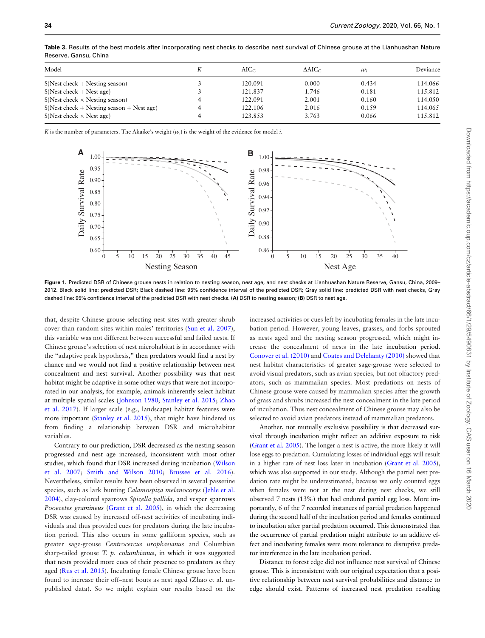| Model                                       | $AIC_C$ | $\Delta AIC_C$ | $w_i$ | Deviance |
|---------------------------------------------|---------|----------------|-------|----------|
| $S(Nest check + Nesting season)$            | 120.091 | 0.000          | 0.434 | 114.066  |
| $S(Nest check + Nest age)$                  | 121.837 | 1.746          | 0.181 | 115.812  |
| $S(Nest check \times Nesting season)$       | 122.091 | 2.001          | 0.160 | 114.050  |
| $S(Nest check + Nesting season + Nest age)$ | 122.106 | 2.016          | 0.159 | 114.065  |
| $S(Nest check \times Nest age)$             | 123.853 | 3.763          | 0.066 | 115.812  |

<span id="page-5-0"></span>Table 3. Results of the best models after incorporating nest checks to describe nest survival of Chinese grouse at the Lianhuashan Nature Reserve, Gansu, China

K is the number of parameters. The Akaike's weight  $(w_i)$  is the weight of the evidence for model i.



Figure 1. Predicted DSR of Chinese grouse nests in relation to nesting season, nest age, and nest checks at Lianhuashan Nature Reserve, Gansu, China, 2009-2012. Black solid line: predicted DSR; Black dashed line: 95% confidence interval of the predicted DSR; Gray solid line: predicted DSR with nest checks, Gray dashed line: 95% confidence interval of the predicted DSR with nest checks. (A) DSR to nesting season; (B) DSR to nest age.

that, despite Chinese grouse selecting nest sites with greater shrub cover than random sites within males' territories [\(Sun et al. 2007\)](#page-8-0), this variable was not different between successful and failed nests. If Chinese grouse's selection of nest microhabitat is in accordance with the "adaptive peak hypothesis," then predators would find a nest by chance and we would not find a positive relationship between nest concealment and nest survival. Another possibility was that nest habitat might be adaptive in some other ways that were not incorporated in our analysis, for example, animals inherently select habitat at multiple spatial scales ([Johnson 1980](#page-7-0); [Stanley et al. 2015](#page-8-0); [Zhao](#page-8-0) [et al. 2017\)](#page-8-0). If larger scale (e.g., landscape) habitat features were more important [\(Stanley et al. 2015\)](#page-8-0), that might have hindered us from finding a relationship between DSR and microhabitat variables.

Contrary to our prediction, DSR decreased as the nesting season progressed and nest age increased, inconsistent with most other studies, which found that DSR increased during incubation [\(Wilson](#page-8-0) [et al. 2007;](#page-8-0) [Smith and Wilson 2010;](#page-8-0) [Brussee et al. 2016\)](#page-7-0). Nevertheless, similar results have been observed in several passerine species, such as lark bunting Calamospiza melanocorys ([Jehle et al.](#page-7-0) [2004](#page-7-0)), clay-colored sparrows Spizella pallida, and vesper sparrows Pooecetes gramineus [\(Grant et al. 2005](#page-7-0)), in which the decreasing DSR was caused by increased off-nest activities of incubating individuals and thus provided cues for predators during the late incubation period. This also occurs in some galliform species, such as greater sage-grouse Centrocercus urophasianus and Columbian sharp-tailed grouse T. p. columbianus, in which it was suggested that nests provided more cues of their presence to predators as they aged ([Rus et al. 2015](#page-8-0)). Incubating female Chinese grouse have been found to increase their off–nest bouts as nest aged (Zhao et al. unpublished data). So we might explain our results based on the

increased activities or cues left by incubating females in the late incubation period. However, young leaves, grasses, and forbs sprouted as nests aged and the nesting season progressed, which might increase the concealment of nests in the late incubation period. [Conover et al. \(2010\)](#page-7-0) and [Coates and Delehanty \(2010\)](#page-7-0) showed that nest habitat characteristics of greater sage-grouse were selected to avoid visual predators, such as avian species, but not olfactory predators, such as mammalian species. Most predations on nests of Chinese grouse were caused by mammalian species after the growth of grass and shrubs increased the nest concealment in the late period of incubation. Thus nest concealment of Chinese grouse may also be selected to avoid avian predators instead of mammalian predators.

Another, not mutually exclusive possibility is that decreased survival through incubation might reflect an additive exposure to risk [\(Grant et al. 2005\)](#page-7-0). The longer a nest is active, the more likely it will lose eggs to predation. Cumulating losses of individual eggs will result in a higher rate of nest loss later in incubation [\(Grant et al. 2005\)](#page-7-0), which was also supported in our study. Although the partial nest predation rate might be underestimated, because we only counted eggs when females were not at the nest during nest checks, we still observed 7 nests (13%) that had endured partial egg loss. More importantly, 6 of the 7 recorded instances of partial predation happened during the second half of the incubation period and females continued to incubation after partial predation occurred. This demonstrated that the occurrence of partial predation might attribute to an additive effect and incubating females were more tolerance to disruptive predator interference in the late incubation period.

Distance to forest edge did not influence nest survival of Chinese grouse. This is inconsistent with our original expectation that a positive relationship between nest survival probabilities and distance to edge should exist. Patterns of increased nest predation resulting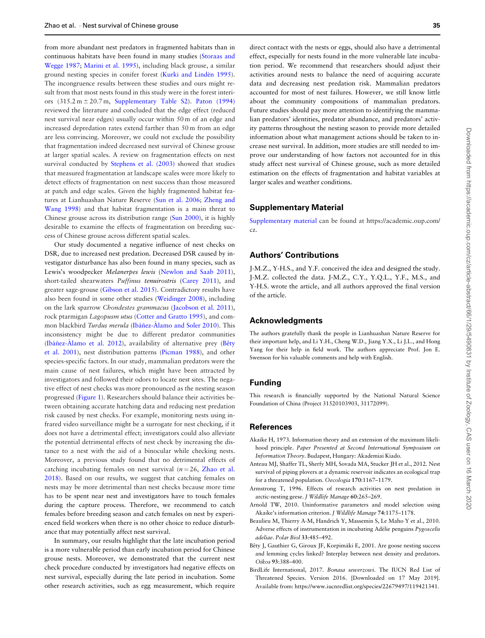<span id="page-6-0"></span>from more abundant nest predators in fragmented habitats than in continuous habitats have been found in many studies ([Storaas and](#page-8-0) [Wegge 1987](#page-8-0); [Marini et al. 1995](#page-7-0)), including black grouse, a similar ground nesting species in conifer forest (Kurki and Lindén 1995). The incongruence results between these studies and ours might result from that most nests found in this study were in the forest interiors  $(315.2 \text{ m} \pm 20.7 \text{ m}$ , [Supplementary Table S2\)](https://academic.oup.com/cz/article-lookup/doi/10.1093/cz/zoz024#supplementary-data). Paton  $(1994)$ reviewed the literature and concluded that the edge effect (reduced nest survival near edges) usually occur within 50 m of an edge and increased depredation rates extend farther than 50 m from an edge are less convincing. Moreover, we could not exclude the possibility that fragmentation indeed decreased nest survival of Chinese grouse at larger spatial scales. A review on fragmentation effects on nest survival conducted by [Stephens et al. \(2003\)](#page-8-0) showed that studies that measured fragmentation at landscape scales were more likely to detect effects of fragmentation on nest success than those measured at patch and edge scales. Given the highly fragmented habitat features at Lianhuashan Nature Reserve [\(Sun et al. 2006](#page-8-0); [Zheng and](#page-8-0) [Wang 1998\)](#page-8-0) and that habitat fragmentation is a main threat to Chinese grouse across its distribution range [\(Sun 2000](#page-8-0)), it is highly desirable to examine the effects of fragmentation on breeding success of Chinese grouse across different spatial scales.

Our study documented a negative influence of nest checks on DSR, due to increased nest predation. Decreased DSR caused by investigator disturbance has also been found in many species, such as Lewis's woodpecker Melanerpes lewis [\(Newlon and Saab 2011\)](#page-7-0), short-tailed shearwaters Puffinus tenuirostris ([Carey 2011](#page-7-0)), and greater sage-grouse ([Gibson et al. 2015\)](#page-7-0). Contradictory results have also been found in some other studies [\(Weidinger 2008\)](#page-8-0), including on the lark sparrow Chondestes grammacus ([Jacobson et al. 2011\)](#page-7-0), rock ptarmigan Lagopusm utus [\(Cotter and Gratto 1995](#page-7-0)), and common blackbird Turdus merula (Ibáñez-Á[lamo and Soler 2010](#page-7-0)). This inconsistency might be due to different predator communities (Ibáñez-Á[lamo et al. 2012\)](#page-7-0), availability of alternative prey (Bêty et al. 2001), nest distribution patterns ([Picman 1988](#page-8-0)), and other species-specific factors. In our study, mammalian predators were the main cause of nest failures, which might have been attracted by investigators and followed their odors to locate nest sites. The negative effect of nest checks was more pronounced as the nesting season progressed [\(Figure 1](#page-5-0)). Researchers should balance their activities between obtaining accurate hatching data and reducing nest predation risk caused by nest checks. For example, monitoring nests using infrared video surveillance might be a surrogate for nest checking, if it does not have a detrimental effect; investigators could also alleviate the potential detrimental effects of nest check by increasing the distance to a nest with the aid of a binocular while checking nests. Moreover, a previous study found that no detrimental effects of catching incubating females on nest survival  $(n = 26,$  [Zhao et al.](#page-8-0) [2018](#page-8-0)). Based on our results, we suggest that catching females on nests may be more detrimental than nest checks because more time has to be spent near nest and investigators have to touch females during the capture process. Therefore, we recommend to catch females before breeding season and catch females on nest by experienced field workers when there is no other choice to reduce disturbance that may potentially affect nest survival.

In summary, our results highlight that the late incubation period is a more vulnerable period than early incubation period for Chinese grouse nests. Moreover, we demonstrated that the current nest check procedure conducted by investigators had negative effects on nest survival, especially during the late period in incubation. Some other research activities, such as egg measurement, which require

direct contact with the nests or eggs, should also have a detrimental effect, especially for nests found in the more vulnerable late incubation period. We recommend that researchers should adjust their activities around nests to balance the need of acquiring accurate data and decreasing nest predation risk. Mammalian predators accounted for most of nest failures. However, we still know little about the community compositions of mammalian predators. Future studies should pay more attention to identifying the mammalian predators' identities, predator abundance, and predators' activity patterns throughout the nesting season to provide more detailed information about what management actions should be taken to increase nest survival. In addition, more studies are still needed to improve our understanding of how factors not accounted for in this study affect nest survival of Chinese grouse, such as more detailed estimation on the effects of fragmentation and habitat variables at larger scales and weather conditions.

### Supplementary Material

[Supplementary material](https://academic.oup.com/cz/article-lookup/doi/10.1093/cz/zoz024#supplementary-data) can be found at https://academic.oup.com/ cz.

# Authors' Contributions

J-M.Z., Y-H.S., and Y.F. conceived the idea and designed the study. J-M.Z. collected the data. J-M.Z., C.Y., Y.Q.L., Y.F., M.S., and Y-H.S. wrote the article, and all authors approved the final version of the article.

#### Acknowledgments

The authors gratefully thank the people in Lianhuashan Nature Reserve for their important help, and Li Y.H., Cheng W.D., Jiang Y.X., Li J.L., and Hong Yang for their help in field work. The authors appreciate Prof. Jon E. Swenson for his valuable comments and help with English.

## Funding

This research is financially supported by the National Natural Science Foundation of China (Project 31520103903, 31172099).

### References

- Akaike H, 1973. Information theory and an extension of the maximum likelihood principle. Paper Presented at Second International Symposium on Information Theory. Budapest, Hungary: Akademiai Kiado.
- Anteau MJ, Shaffer TL, Sherfy MH, Sovada MA, Stucker JH et al., 2012. Nest survival of piping plovers at a dynamic reservoir indicates an ecological trap for a threatened population. Oecologia 170:1167–1179.
- Armstrong T, 1996. Effects of research activities on nest predation in arctic-nesting geese. J Wildlife Manage 60:265–269.
- Arnold TW, 2010. Uninformative parameters and model selection using Akaike's information criterion. J Wildlife Manage 74:1175–1178.
- Beaulieu M, Thierry A-M, Handrich Y, Massemin S, Le Maho Y et al., 2010. Adverse effects of instrumentation in incubating Adélie penguins Pygoscelis adeliae. Polar Biol 33:485–492.
- Bêty J, Gauthier G, Giroux JF, Korpimäki E, 2001. Are goose nesting success and lemming cycles linked? Interplay between nest density and predators. Oikos 93:388–400.
- BirdLife International, 2017. Bonasa sewerzowi. The IUCN Red List of Threatened Species. Version 2016. [Downloaded on 17 May 2019]. Available from:<https://www.iucnredlist.org/species/22679497/119421341>.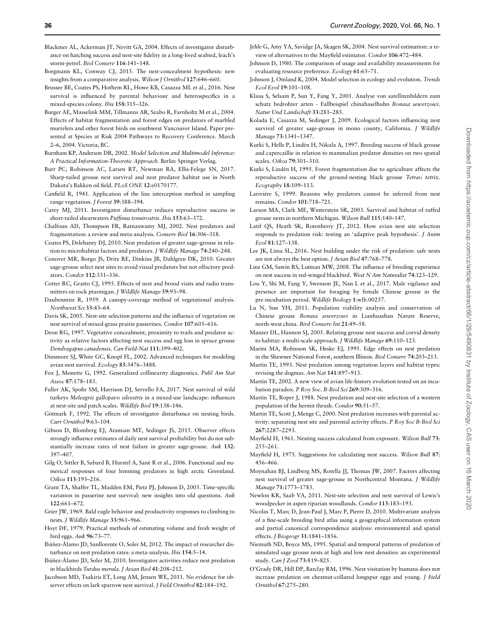<span id="page-7-0"></span>Blackmer AL, Ackerman JT, Nevitt GA, 2004. Effects of investigator disturbance on hatching success and nest-site fidelity in a long-lived seabird, leach's storm-petrel. Biol Conserv 116:141–148.

- Borgmann KL, Conway CJ, 2015. The nest-concealment hypothesis: new insights from a comparative analysis. Wilson J Ornithol 127:646–660.
- Brussee BE, Coates PS, Hothem RL, Howe KB, Casazza ML et al., 2016. Nest survival is influenced by parental behaviour and heterospecifics in a mixed-species colony. Ibis 158:315–326.
- Burger AE, Masselink MM, Tillmanns AR, Szabo R, Farnholtz M et al., 2004. Effects of habitat fragmentation and forest edges on predators of marbled murrelets and other forest birds on southwest Vancouver Island. Paper presented at Species at Risk 2004 Pathways to Recovery Conference. March 2–6, 2004. Victoria, BC.
- Burnham KP, Anderson DR, 2002. Model Selection and Multimodel Inference: A Practical Information-Theoretic Approach. Berlin: Springer Verlag.
- Burr PC, Robinson AC, Larsen RT, Newman RA, Ellis-Felege SN, 2017. Sharp-tailed grouse nest survival and nest predator habitat use in North Dakota's Bakken oil field. PLoS ONE 12:e0170177.
- Canfield R, 1941. Application of the line interception method in sampling range vegetation. J Forest 39:388–394.
- Carey MJ, 2011. Investigator disturbance reduces reproductive success in short-tailed shearwaters Puffinus tenuirostris. Ibis 153:63–372.
- Chalfoun AD, Thompson FR, Ratnaswamy MJ, 2002. Nest predators and fragmentation: a review and meta-analysis. Conserv Biol 16:306–318.
- Coates PS, Delehanty DJ, 2010. Nest predation of greater sage–grouse in relation to microhabitat factors and predators. J Wildlife Manage 74:240–248.
- Conover MR, Borgo JS, Dritz RE, Dinkins JB, Dahlgren DK, 2010. Greater sage-grouse select nest sites to avoid visual predators but not olfactory predators. Condor 112:331–336.
- Cotter RC, Gratto CJ, 1995. Effects of nest and brood visits and radio transmitters on rock ptarmigan. J Wildlife Manage 59:93–98.
- Daubenmire R, 1959. A canopy-coverage method of vegetational analysis. Northwest Sci 33:43–64.
- Davis SK, 2005. Nest-site selection patterns and the influence of vegetation on nest survival of mixed-grass prairie passerines. Condor 107:605–616.
- Deon RG, 1997. Vegetative concealment, proximity to trails and predator activity as relative factors affecting nest success and egg loss in spruce grouse Dendragapus canadensis. Can Field-Nat 111:399–402.
- Dinsmore SJ, White GC, Knopf FL, 2002. Advanced techniques for modeling avian nest survival. Ecology 83:3476–3488.
- Fox J, Monette G, 1992. Generalized collinearity diagnostics. Publ Am Stat Assoc 87:178–183.
- Fuller AK, Spohr SM, Harrison DJ, Servello FA, 2017. Nest survival of wild turkeys Meleagris gallopavo silvestris in a mixed-use landscape: influences at nest-site and patch scales. Wildlife Biol 19:138–146.
- Götmark F, 1992. The effects of investigator disturbance on nesting birds. Curr Ornithol 9:63–104.
- Gibson D, Blomberg EJ, Atamian MT, Sedinger JS, 2015. Observer effects strongly influence estimates of daily nest survival probability but do not substantially increase rates of nest failure in greater sage-grouse. Auk 132: 397–407.
- Gilg O, Sittler B, Sabard B, Hurstel A, Sané R et al., 2006. Functional and numerical responses of four lemming predators in high arctic Greenland. Oikos 113:193–216.
- Grant TA, Shaffer TL, Madden EM, Pietz PJ, Johnson D, 2005. Time-specific variation in passerine nest survival: new insights into old questions. Auk 122:661–672.
- Grier JW, 1969. Bald eagle behavior and productivity responses to climbing to nests. J Wildlife Manage 33:961–966.
- Hoyt DF, 1979. Practical methods of estimating volume and fresh weight of bird eggs. Auk 96:73–77.
- Ibáñez-Álamo JD, Sanllorente O, Soler M, 2012. The impact of researcher disturbance on nest predation rates: a meta-analysis. Ibis 154:5–14.
- Ibáñez-Álamo JD, Soler M, 2010. Investigator activities reduce nest predation in blackbirds Turdus merula. J Avian Biol 41:208–212.
- Jacobson MD, Tsakiris ET, Long AM, Jensen WE, 2011. No evidence for observer effects on lark sparrow nest survival. J Field Ornithol 82:184-192.
- Jehle G, Amy YA, Savidge JA, Skagen SK, 2004. Nest survival estimation: a review of alternatives to the Mayfield estimator. Condor 106:472–484.
- Johnson D, 1980. The comparison of usage and availability measurements for evaluating resource preference. Ecology 61:65–71.
- Johnson J, Omland K, 2004. Model selection in ecology and evolution. Trends Ecol Evol 19:101–108.
- Klaus S, Selsam P, Sun Y, Fang Y, 2001. Analyse von satellitenbildern zum schutz bedrohter arten - Fallbeispiel chinahaselhuhn Bonasa sewerzowi. Natur Und Landschaft 33:281–285.
- Kolada E, Casazza M, Sedinger J, 2009. Ecological factors influencing nest survival of greater sage-grouse in mono county, California. J Wildlife Manage 73:1341–1347.
- Kurki S, Helle P, Lindén H, Nikula A, 1997. Breeding success of black grouse and capercaillie in relation to mammalian predator densities on two spatial scales. Oikos 79:301–310.
- Kurki S, Lindén H, 1995. Forest fragmentation due to agriculture affects the reproductive success of the ground-nesting black grouse Tetrao tetrix. Ecography 18:109–113.
- Larivière S, 1999. Reasons why predators cannot be inferred from nest remains. Condor 101:718–721.
- Larson MA, Clark ME, Winterstein SR, 2003. Survival and habitat of ruffed grouse nests in northern Michigan. Wilson Bull 115:140–147.
- Latif QS, Heath SK, Rotenberry JT, 2012. How avian nest site selection responds to predation risk: testing an 'adaptive peak hypothesis'. J Anim Ecol 81:127–138.
- Lee JK, Lima SL, 2016. Nest building under the risk of predation: safe nests are not always the best option. J Avian Biol 47:768–778.
- Linz GM, Sawin RS, Lutman MW, 2008. The influence of breeding experience on nest success in red-winged blackbird. West N Am Naturalist 74:123–129.
- Lou Y, Shi M, Fang Y, Swenson JE, Nan L et al., 2017. Male vigilance and presence are important for foraging by female Chinese grouse in the pre-incubation period. Wildlife Biology 1:wlb.00257.
- Lu N, Sun YH, 2011. Population viability analysis and conservation of Chinese grouse Bonasa sewerzowi in Lianhuashan Nature Reserve, north-west china. Bird Conserv Int 21:49–58.
- Manzer DL, Hannon SJ, 2005. Relating grouse nest success and corvid density to habitat: a multi-scale approach. J Wildlife Manage 69:110–123.
- Marini MA, Robinson SK, Heske EJ, 1995. Edge effects on nest predation in the Shawnee National Forest, southern Illinois. Biol Conserv 74:203–213.
- Martin TE, 1993. Nest predation among vegetation layers and habitat types: revising the dogmas. Am Nat 141:897–913.
- Martin TE, 2002. A new view of avian life-history evolution tested on an incubation paradox. P Roy Soc. B-Biol Sci 269:309–316.
- Martin TE, Roper J, 1988. Nest predation and nest-site selection of a western population of the hermit thrush. Condor 90:51–57.
- Martin TE, Scott J, Menge C, 2000. Nest predation increases with parental activity: separating nest site and parental activity effects. P Roy Soc B-Biol Sci 267:2287–2293.
- Mayfield H, 1961. Nesting success calculated from exposure. Wilson Bull 73: 255–261.
- Mayfield H, 1975. Suggestions for calculating nest success. Wilson Bull 87: 456–466.
- Moynahan BJ, Lindberg MS, Rotella JJ, Thomas JW, 2007. Factors affecting nest survival of greater sage-grouse in Northcentral Montana. J Wildlife Manage 71:1773–1783.
- Newlon KR, Saab VA, 2011. Nest-site selection and nest survival of Lewis's woodpecker in aspen riparian woodlands. Condor 113:183–193.
- Nicolas T, Marc D, Jean-Paul J, Marc P, Pierre D, 2010. Multivariate analysis of a fine-scale breeding bird atlas using a geographical information system and partial canonical correspondence analysis: environmental and spatial effects. J Biogeogr 31:1841–1856.
- Niemuth ND, Boyce MS, 1995. Spatial and temporal patterns of predation of simulated sage grouse nests at high and low nest densities: an experimental study. Can J Zool 73:819–825.
- O'Grady DR, Hill DP, Barclay RM, 1996. Nest visitation by humans does not increase predation on chestnut-collared longspur eggs and young. J Field Ornithol 67:275–280.